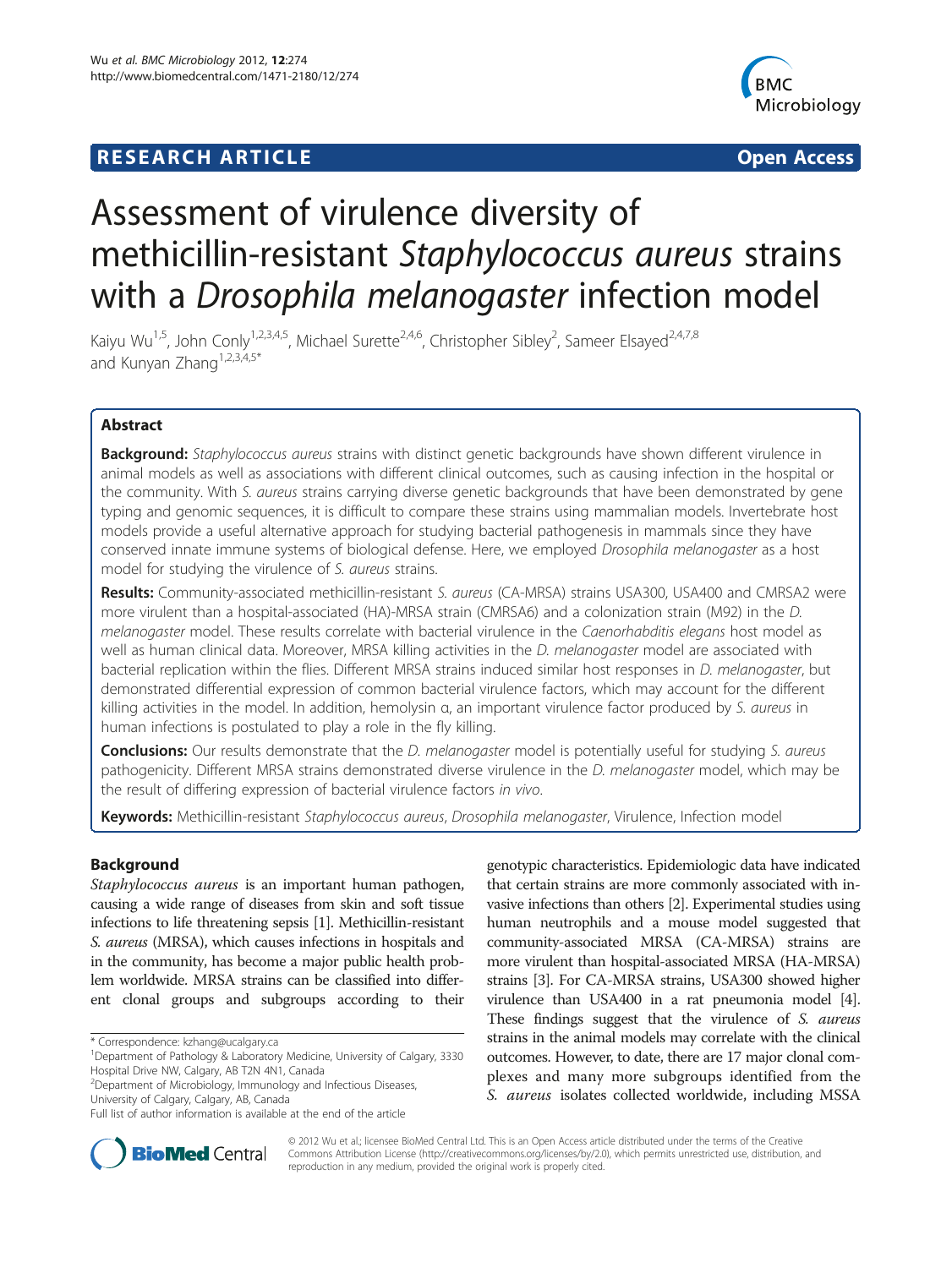# **RESEARCH ARTICLE Example 2014 The Contract of Contract Contract Contract Contract Contract Contract Contract Contract Contract Contract Contract Contract Contract Contract Contract Contract Contract Contract Contract Co**



# Assessment of virulence diversity of methicillin-resistant Staphylococcus aureus strains with a Drosophila melanogaster infection model

Kaiyu Wu<sup>1,5</sup>, John Conly<sup>1,2,3,4,5</sup>, Michael Surette<sup>2,4,6</sup>, Christopher Sibley<sup>2</sup>, Sameer Elsayed<sup>2,4,7,8</sup> and Kunyan Zhang<sup>1,2,3,4,5\*</sup>

# Abstract

Background: Staphylococcus aureus strains with distinct genetic backgrounds have shown different virulence in animal models as well as associations with different clinical outcomes, such as causing infection in the hospital or the community. With S. aureus strains carrying diverse genetic backgrounds that have been demonstrated by gene typing and genomic sequences, it is difficult to compare these strains using mammalian models. Invertebrate host models provide a useful alternative approach for studying bacterial pathogenesis in mammals since they have conserved innate immune systems of biological defense. Here, we employed Drosophila melanogaster as a host model for studying the virulence of S. aureus strains.

Results: Community-associated methicillin-resistant S. aureus (CA-MRSA) strains USA300, USA400 and CMRSA2 were more virulent than a hospital-associated (HA)-MRSA strain (CMRSA6) and a colonization strain (M92) in the D. melanogaster model. These results correlate with bacterial virulence in the Caenorhabditis elegans host model as well as human clinical data. Moreover, MRSA killing activities in the *D. melanogaster* model are associated with bacterial replication within the flies. Different MRSA strains induced similar host responses in D. melanogaster, but demonstrated differential expression of common bacterial virulence factors, which may account for the different killing activities in the model. In addition, hemolysin α, an important virulence factor produced by S. aureus in human infections is postulated to play a role in the fly killing.

**Conclusions:** Our results demonstrate that the *D. melanogaster* model is potentially useful for studying S. aureus pathogenicity. Different MRSA strains demonstrated diverse virulence in the D. melanogaster model, which may be the result of differing expression of bacterial virulence factors in vivo.

Keywords: Methicillin-resistant Staphylococcus aureus, Drosophila melanogaster, Virulence, Infection model

# Background

Staphylococcus aureus is an important human pathogen, causing a wide range of diseases from skin and soft tissue infections to life threatening sepsis [\[1\]](#page-8-0). Methicillin-resistant S. aureus (MRSA), which causes infections in hospitals and in the community, has become a major public health problem worldwide. MRSA strains can be classified into different clonal groups and subgroups according to their

2 Department of Microbiology, Immunology and Infectious Diseases, University of Calgary, Calgary, AB, Canada

genotypic characteristics. Epidemiologic data have indicated that certain strains are more commonly associated with invasive infections than others [\[2\]](#page-8-0). Experimental studies using human neutrophils and a mouse model suggested that community-associated MRSA (CA-MRSA) strains are more virulent than hospital-associated MRSA (HA-MRSA) strains [[3](#page-8-0)]. For CA-MRSA strains, USA300 showed higher virulence than USA400 in a rat pneumonia model [[4](#page-8-0)]. These findings suggest that the virulence of S. *aureus* strains in the animal models may correlate with the clinical outcomes. However, to date, there are 17 major clonal complexes and many more subgroups identified from the S. aureus isolates collected worldwide, including MSSA



© 2012 Wu et al.; licensee BioMed Central Ltd. This is an Open Access article distributed under the terms of the Creative Commons Attribution License [\(http://creativecommons.org/licenses/by/2.0\)](http://creativecommons.org/licenses/by/2.0), which permits unrestricted use, distribution, and reproduction in any medium, provided the original work is properly cited.

<sup>\*</sup> Correspondence: [kzhang@ucalgary.ca](mailto:kzhang@ucalgary.ca) <sup>1</sup>

<sup>&</sup>lt;sup>1</sup>Department of Pathology & Laboratory Medicine, University of Calgary, 3330 Hospital Drive NW, Calgary, AB T2N 4N1, Canada

Full list of author information is available at the end of the article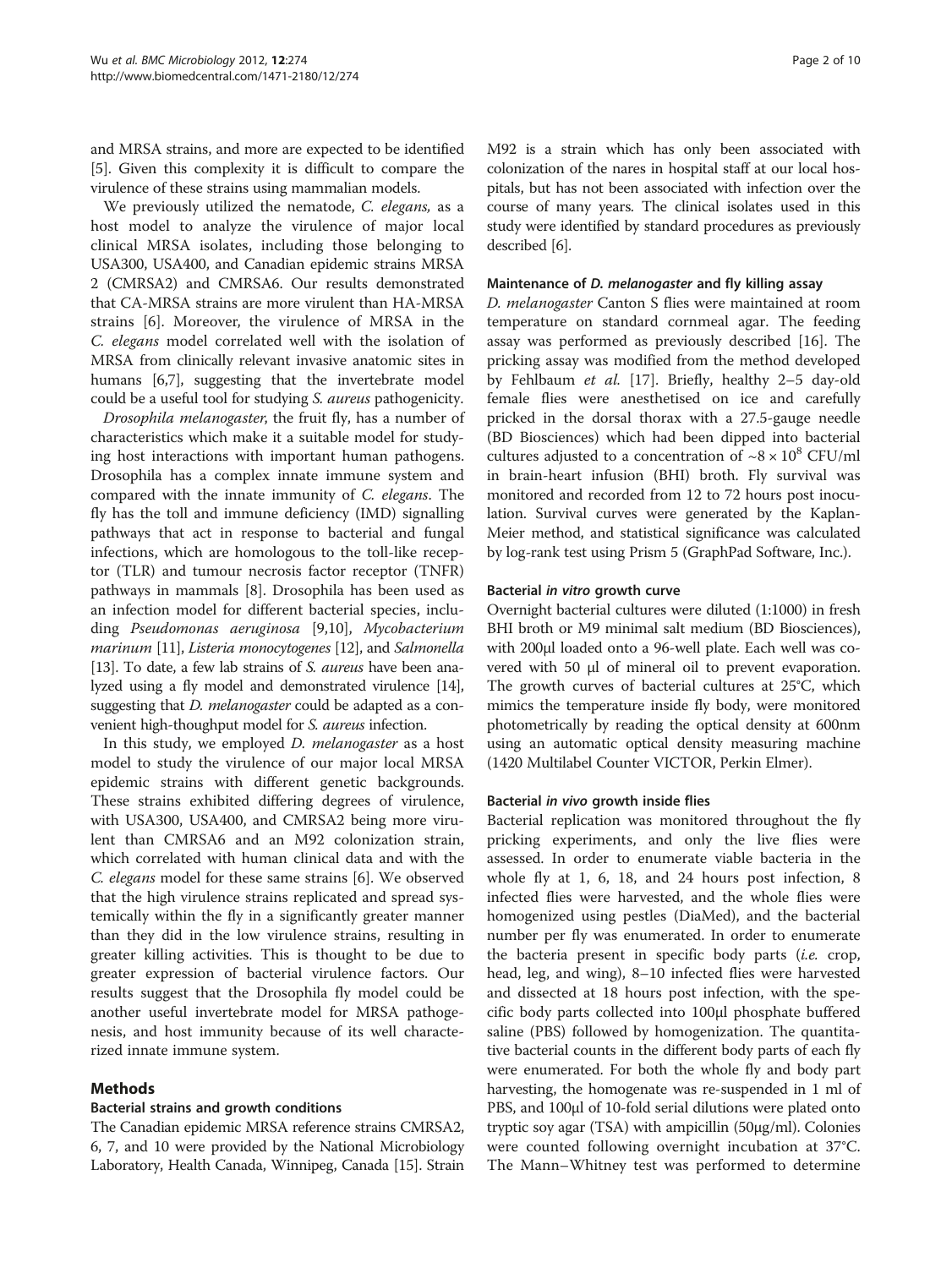and MRSA strains, and more are expected to be identified [[5\]](#page-8-0). Given this complexity it is difficult to compare the virulence of these strains using mammalian models.

We previously utilized the nematode, C. elegans, as a host model to analyze the virulence of major local clinical MRSA isolates, including those belonging to USA300, USA400, and Canadian epidemic strains MRSA 2 (CMRSA2) and CMRSA6. Our results demonstrated that CA-MRSA strains are more virulent than HA-MRSA strains [[6\]](#page-8-0). Moreover, the virulence of MRSA in the C. elegans model correlated well with the isolation of MRSA from clinically relevant invasive anatomic sites in humans [\[6,7\]](#page-8-0), suggesting that the invertebrate model could be a useful tool for studying S. aureus pathogenicity.

Drosophila melanogaster, the fruit fly, has a number of characteristics which make it a suitable model for studying host interactions with important human pathogens. Drosophila has a complex innate immune system and compared with the innate immunity of C. elegans. The fly has the toll and immune deficiency (IMD) signalling pathways that act in response to bacterial and fungal infections, which are homologous to the toll-like receptor (TLR) and tumour necrosis factor receptor (TNFR) pathways in mammals [\[8](#page-8-0)]. Drosophila has been used as an infection model for different bacterial species, including Pseudomonas aeruginosa [\[9,10](#page-8-0)], Mycobacterium marinum [\[11](#page-8-0)], Listeria monocytogenes [\[12\]](#page-8-0), and Salmonella [[13](#page-8-0)]. To date, a few lab strains of *S. aureus* have been analyzed using a fly model and demonstrated virulence [\[14](#page-8-0)], suggesting that *D. melanogaster* could be adapted as a convenient high-thoughput model for S. aureus infection.

In this study, we employed D. melanogaster as a host model to study the virulence of our major local MRSA epidemic strains with different genetic backgrounds. These strains exhibited differing degrees of virulence, with USA300, USA400, and CMRSA2 being more virulent than CMRSA6 and an M92 colonization strain, which correlated with human clinical data and with the C. elegans model for these same strains [[6\]](#page-8-0). We observed that the high virulence strains replicated and spread systemically within the fly in a significantly greater manner than they did in the low virulence strains, resulting in greater killing activities. This is thought to be due to greater expression of bacterial virulence factors. Our results suggest that the Drosophila fly model could be another useful invertebrate model for MRSA pathogenesis, and host immunity because of its well characterized innate immune system.

# Methods

# Bacterial strains and growth conditions

The Canadian epidemic MRSA reference strains CMRSA2, 6, 7, and 10 were provided by the National Microbiology Laboratory, Health Canada, Winnipeg, Canada [\[15\]](#page-8-0). Strain M92 is a strain which has only been associated with colonization of the nares in hospital staff at our local hospitals, but has not been associated with infection over the course of many years. The clinical isolates used in this study were identified by standard procedures as previously described [\[6\]](#page-8-0).

#### Maintenance of D. melanogaster and fly killing assay

D. melanogaster Canton S flies were maintained at room temperature on standard cornmeal agar. The feeding assay was performed as previously described [[16\]](#page-8-0). The pricking assay was modified from the method developed by Fehlbaum et al. [\[17](#page-8-0)]. Briefly, healthy 2–5 day-old female flies were anesthetised on ice and carefully pricked in the dorsal thorax with a 27.5-gauge needle (BD Biosciences) which had been dipped into bacterial cultures adjusted to a concentration of  $\sim 8 \times 10^8$  CFU/ml in brain-heart infusion (BHI) broth. Fly survival was monitored and recorded from 12 to 72 hours post inoculation. Survival curves were generated by the Kaplan-Meier method, and statistical significance was calculated by log-rank test using Prism 5 (GraphPad Software, Inc.).

#### Bacterial in vitro growth curve

Overnight bacterial cultures were diluted (1:1000) in fresh BHI broth or M9 minimal salt medium (BD Biosciences), with 200μl loaded onto a 96-well plate. Each well was covered with 50 μl of mineral oil to prevent evaporation. The growth curves of bacterial cultures at 25°C, which mimics the temperature inside fly body, were monitored photometrically by reading the optical density at 600nm using an automatic optical density measuring machine (1420 Multilabel Counter VICTOR, Perkin Elmer).

#### Bacterial in vivo growth inside flies

Bacterial replication was monitored throughout the fly pricking experiments, and only the live flies were assessed. In order to enumerate viable bacteria in the whole fly at 1, 6, 18, and 24 hours post infection, 8 infected flies were harvested, and the whole flies were homogenized using pestles (DiaMed), and the bacterial number per fly was enumerated. In order to enumerate the bacteria present in specific body parts *(i.e.* crop, head, leg, and wing), 8–10 infected flies were harvested and dissected at 18 hours post infection, with the specific body parts collected into 100μl phosphate buffered saline (PBS) followed by homogenization. The quantitative bacterial counts in the different body parts of each fly were enumerated. For both the whole fly and body part harvesting, the homogenate was re-suspended in 1 ml of PBS, and 100μl of 10-fold serial dilutions were plated onto tryptic soy agar (TSA) with ampicillin (50μg/ml). Colonies were counted following overnight incubation at 37°C. The Mann–Whitney test was performed to determine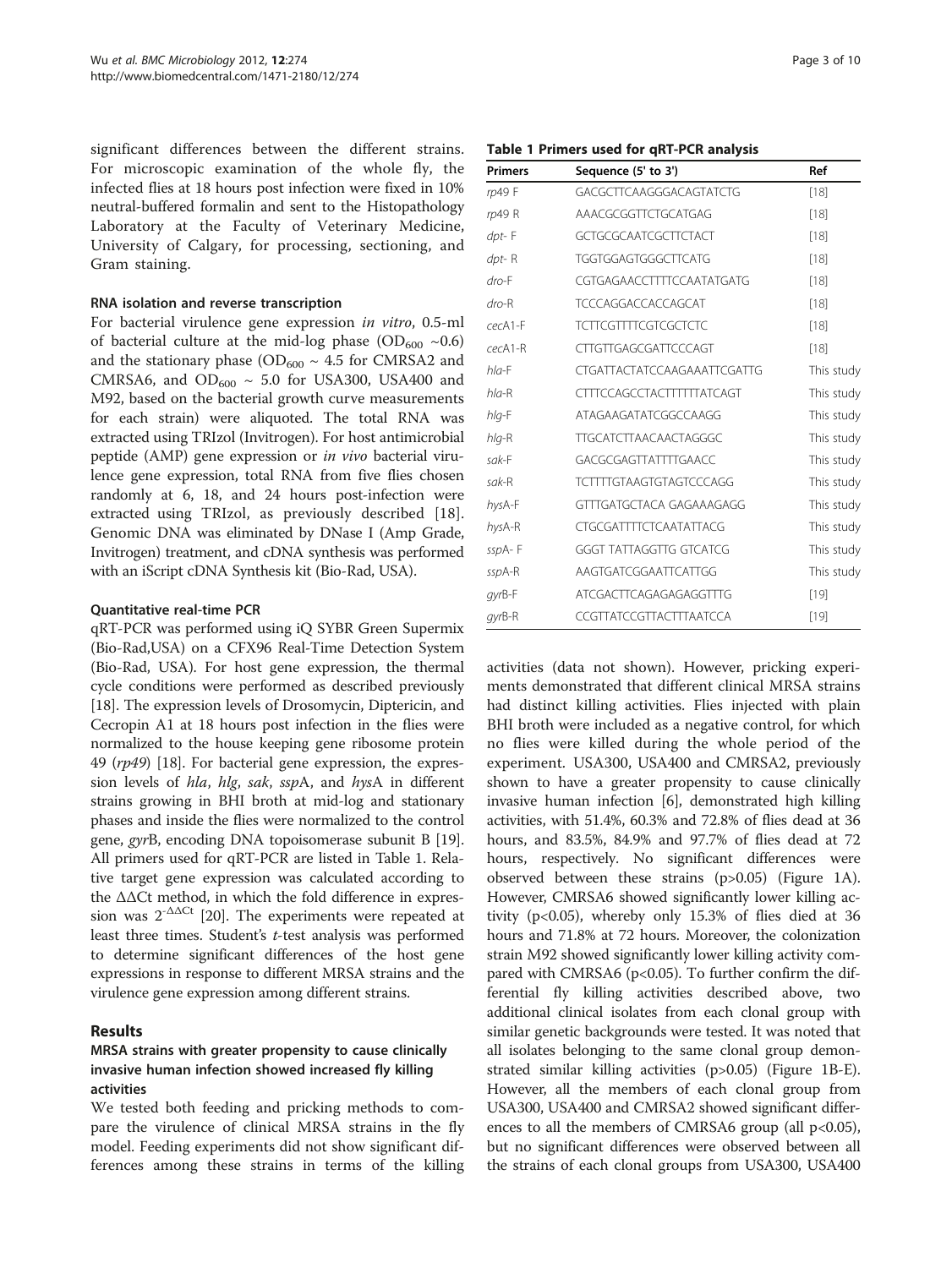significant differences between the different strains. For microscopic examination of the whole fly, the infected flies at 18 hours post infection were fixed in 10% neutral-buffered formalin and sent to the Histopathology Laboratory at the Faculty of Veterinary Medicine, University of Calgary, for processing, sectioning, and Gram staining.

#### RNA isolation and reverse transcription

For bacterial virulence gene expression in vitro, 0.5-ml of bacterial culture at the mid-log phase (OD<sub>600</sub> ~0.6) and the stationary phase ( $OD<sub>600</sub> \sim 4.5$  for CMRSA2 and CMRSA6, and  $OD_{600} \sim 5.0$  for USA300, USA400 and M92, based on the bacterial growth curve measurements for each strain) were aliquoted. The total RNA was extracted using TRIzol (Invitrogen). For host antimicrobial peptide (AMP) gene expression or in vivo bacterial virulence gene expression, total RNA from five flies chosen randomly at 6, 18, and 24 hours post-infection were extracted using TRIzol, as previously described [\[18](#page-8-0)]. Genomic DNA was eliminated by DNase I (Amp Grade, Invitrogen) treatment, and cDNA synthesis was performed with an iScript cDNA Synthesis kit (Bio-Rad, USA).

#### Quantitative real-time PCR

qRT-PCR was performed using iQ SYBR Green Supermix (Bio-Rad,USA) on a CFX96 Real-Time Detection System (Bio-Rad, USA). For host gene expression, the thermal cycle conditions were performed as described previously [[18](#page-8-0)]. The expression levels of Drosomycin, Diptericin, and Cecropin A1 at 18 hours post infection in the flies were normalized to the house keeping gene ribosome protein 49 (rp49) [\[18\]](#page-8-0). For bacterial gene expression, the expression levels of hla, hlg, sak, sspA, and hysA in different strains growing in BHI broth at mid-log and stationary phases and inside the flies were normalized to the control gene, gyrB, encoding DNA topoisomerase subunit B [[19](#page-8-0)]. All primers used for qRT-PCR are listed in Table 1. Relative target gene expression was calculated according to the ΔΔCt method, in which the fold difference in expression was  $2^{-\Delta\Delta Ct}$  [\[20](#page-8-0)]. The experiments were repeated at least three times. Student's t-test analysis was performed to determine significant differences of the host gene expressions in response to different MRSA strains and the virulence gene expression among different strains.

# Results

# MRSA strains with greater propensity to cause clinically invasive human infection showed increased fly killing activities

We tested both feeding and pricking methods to compare the virulence of clinical MRSA strains in the fly model. Feeding experiments did not show significant differences among these strains in terms of the killing

#### Table 1 Primers used for qRT-PCR analysis

| <b>Primers</b> | Sequence (5' to 3')                | Ref        |
|----------------|------------------------------------|------------|
| rp49 F         | GACGCTTCAAGGGACAGTATCTG            | $[18]$     |
| rp49 R         | AAACGCGGTTCTGCATGAG                | $[18]$     |
| $dpt$ -F       | <b>GCTGCGCAATCGCTTCTACT</b>        | $[18]$     |
| $dpt-R$        | TGGTGGAGTGGGCTTCATG                | $[18]$     |
| $dro-F$        | CGTGAGAACCTTTTCCAATATGATG          | $[18]$     |
| $dro-R$        | <b>TCCCAGGACCACCAGCAT</b>          | $[18]$     |
| cecA1-F        | <b>TCTTCGTTTTCGTCGCTCTC</b>        | $[18]$     |
| $c$ ecA1-R     | <b>CTTGTTGAGCGATTCCCAGT</b>        | [18]       |
| $h$ la-F       | <b>CTGATTACTATCCAAGAAATTCGATTG</b> | This study |
| $h$ la-R       | <b>CTTTCCAGCCTACTTTTTTATCAGT</b>   | This study |
| $h$ lg-F       | ATAGAAGATATCGGCCAAGG               | This study |
| $h$ lg-R       | <b>TTGCATCTTAACAACTAGGGC</b>       | This study |
| $s$ ak-F       | GACGCGAGTTATTTTGAACC               | This study |
| $s$ ak-R       | <b>TCTTTTGTAAGTGTAGTCCCAGG</b>     | This study |
| hysA-F         | GTTTGATGCTACA GAGAAAGAGG           | This study |
| hysA-R         | <b>CTGCGATTTTCTCAATATTACG</b>      | This study |
| sspA-F         | <b>GGGT TATTAGGTTG GTCATCG</b>     | This study |
| sspA-R         | AAGTGATCGGAATTCATTGG               | This study |
| $qyrB-F$       | ATCGACTTCAGAGAGAGGTTTG             | $[19]$     |
| gyrB-R         | CCGTTATCCGTTACTTTAATCCA            | $[19]$     |

activities (data not shown). However, pricking experiments demonstrated that different clinical MRSA strains had distinct killing activities. Flies injected with plain BHI broth were included as a negative control, for which no flies were killed during the whole period of the experiment. USA300, USA400 and CMRSA2, previously shown to have a greater propensity to cause clinically invasive human infection [\[6\]](#page-8-0), demonstrated high killing activities, with 51.4%, 60.3% and 72.8% of flies dead at 36 hours, and 83.5%, 84.9% and 97.7% of flies dead at 72 hours, respectively. No significant differences were observed between these strains (p>0.05) (Figure [1A](#page-3-0)). However, CMRSA6 showed significantly lower killing activity (p<0.05), whereby only 15.3% of flies died at 36 hours and 71.8% at 72 hours. Moreover, the colonization strain M92 showed significantly lower killing activity compared with CMRSA6 ( $p<0.05$ ). To further confirm the differential fly killing activities described above, two additional clinical isolates from each clonal group with similar genetic backgrounds were tested. It was noted that all isolates belonging to the same clonal group demonstrated similar killing activities (p>0.05) (Figure [1B-E](#page-3-0)). However, all the members of each clonal group from USA300, USA400 and CMRSA2 showed significant differences to all the members of CMRSA6 group (all  $p<0.05$ ), but no significant differences were observed between all the strains of each clonal groups from USA300, USA400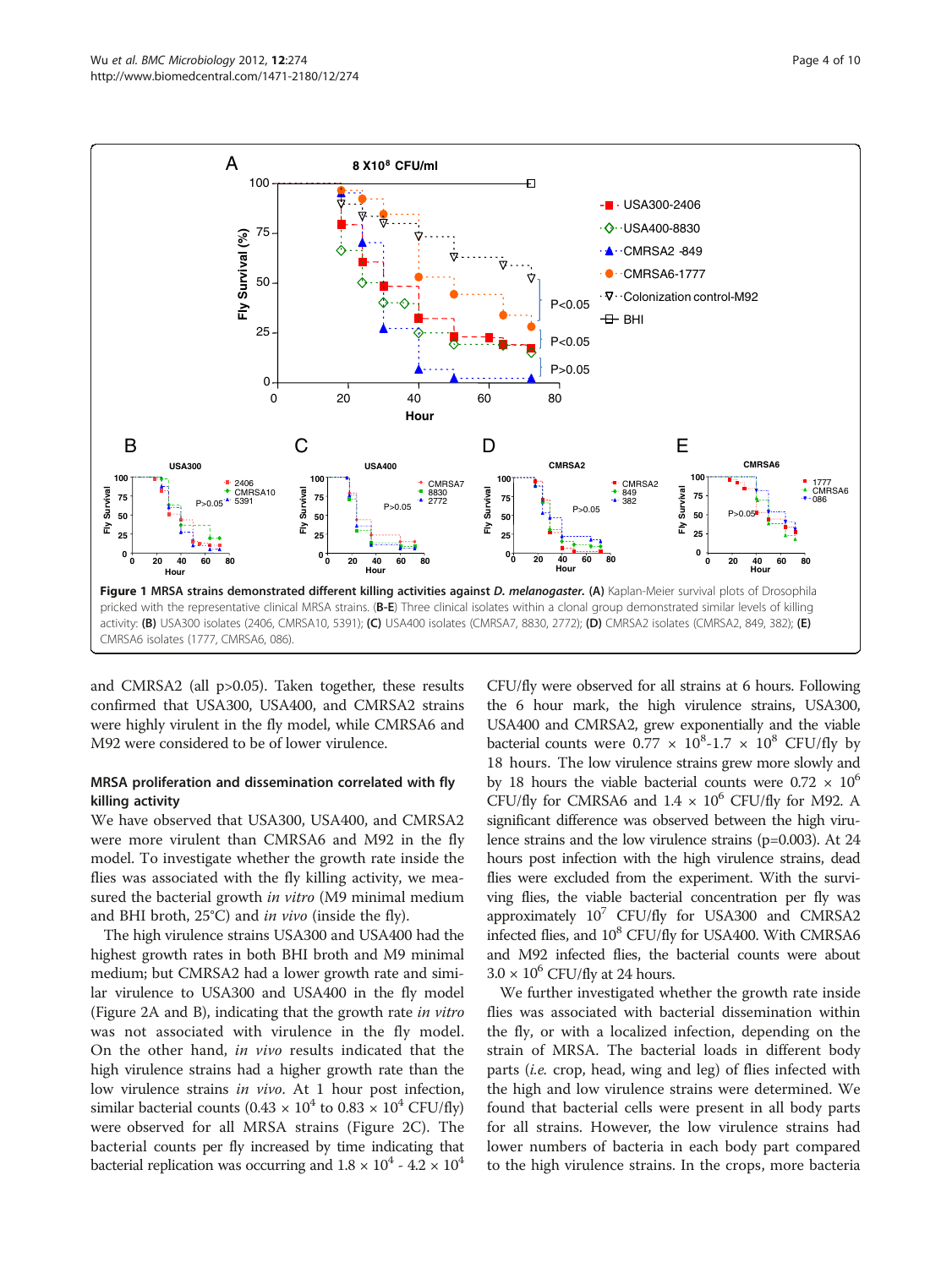<span id="page-3-0"></span>

and CMRSA2 (all p>0.05). Taken together, these results confirmed that USA300, USA400, and CMRSA2 strains were highly virulent in the fly model, while CMRSA6 and M92 were considered to be of lower virulence.

# MRSA proliferation and dissemination correlated with fly killing activity

We have observed that USA300, USA400, and CMRSA2 were more virulent than CMRSA6 and M92 in the fly model. To investigate whether the growth rate inside the flies was associated with the fly killing activity, we measured the bacterial growth *in vitro* (M9 minimal medium and BHI broth,  $25^{\circ}$ C) and *in vivo* (inside the fly).

The high virulence strains USA300 and USA400 had the highest growth rates in both BHI broth and M9 minimal medium; but CMRSA2 had a lower growth rate and similar virulence to USA300 and USA400 in the fly model (Figure [2A](#page-4-0) and [B](#page-4-0)), indicating that the growth rate in vitro was not associated with virulence in the fly model. On the other hand, in vivo results indicated that the high virulence strains had a higher growth rate than the low virulence strains in vivo. At 1 hour post infection, similar bacterial counts (0.43  $\times$  10<sup>4</sup> to 0.83  $\times$  10<sup>4</sup> CFU/fly) were observed for all MRSA strains (Figure [2C\)](#page-4-0). The bacterial counts per fly increased by time indicating that bacterial replication was occurring and  $1.8 \times 10^4$  -  $4.2 \times 10^4$ 

CFU/fly were observed for all strains at 6 hours. Following the 6 hour mark, the high virulence strains, USA300, USA400 and CMRSA2, grew exponentially and the viable bacterial counts were  $0.77 \times 10^8$ -1.7  $\times 10^8$  CFU/fly by 18 hours. The low virulence strains grew more slowly and by 18 hours the viable bacterial counts were  $0.72 \times 10^6$ CFU/fly for CMRSA6 and  $1.4 \times 10^6$  CFU/fly for M92. A significant difference was observed between the high virulence strains and the low virulence strains (p=0.003). At 24 hours post infection with the high virulence strains, dead flies were excluded from the experiment. With the surviving flies, the viable bacterial concentration per fly was approximately  $10^7$  CFU/fly for USA300 and CMRSA2 infected flies, and  $10^8$  CFU/fly for USA400. With CMRSA6 and M92 infected flies, the bacterial counts were about  $3.0 \times 10^6$  CFU/fly at 24 hours.

We further investigated whether the growth rate inside flies was associated with bacterial dissemination within the fly, or with a localized infection, depending on the strain of MRSA. The bacterial loads in different body parts (i.e. crop, head, wing and leg) of flies infected with the high and low virulence strains were determined. We found that bacterial cells were present in all body parts for all strains. However, the low virulence strains had lower numbers of bacteria in each body part compared to the high virulence strains. In the crops, more bacteria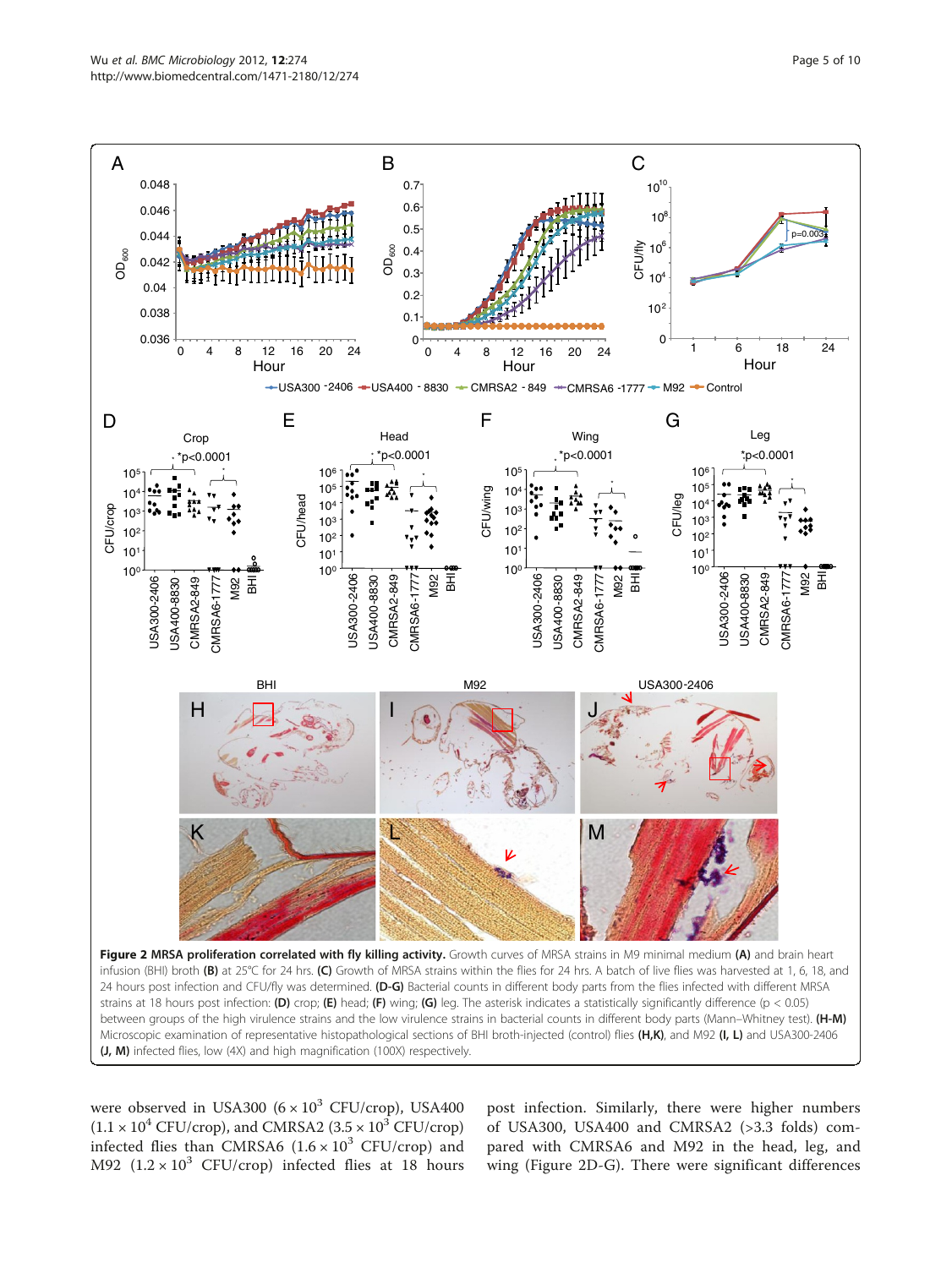<span id="page-4-0"></span>

were observed in USA300  $(6 \times 10^3 \text{ CFU/crop})$ , USA400  $(1.1 \times 10^4 \text{ CFU/crop})$ , and CMRSA2  $(3.5 \times 10^3 \text{ CFU/crop})$ infected flies than CMRSA6  $(1.6 \times 10^3 \text{ CFU/crop})$  and M92  $(1.2 \times 10^3 \text{ CFU/crop})$  infected flies at 18 hours

post infection. Similarly, there were higher numbers of USA300, USA400 and CMRSA2 (>3.3 folds) compared with CMRSA6 and M92 in the head, leg, and wing (Figure 2D-G). There were significant differences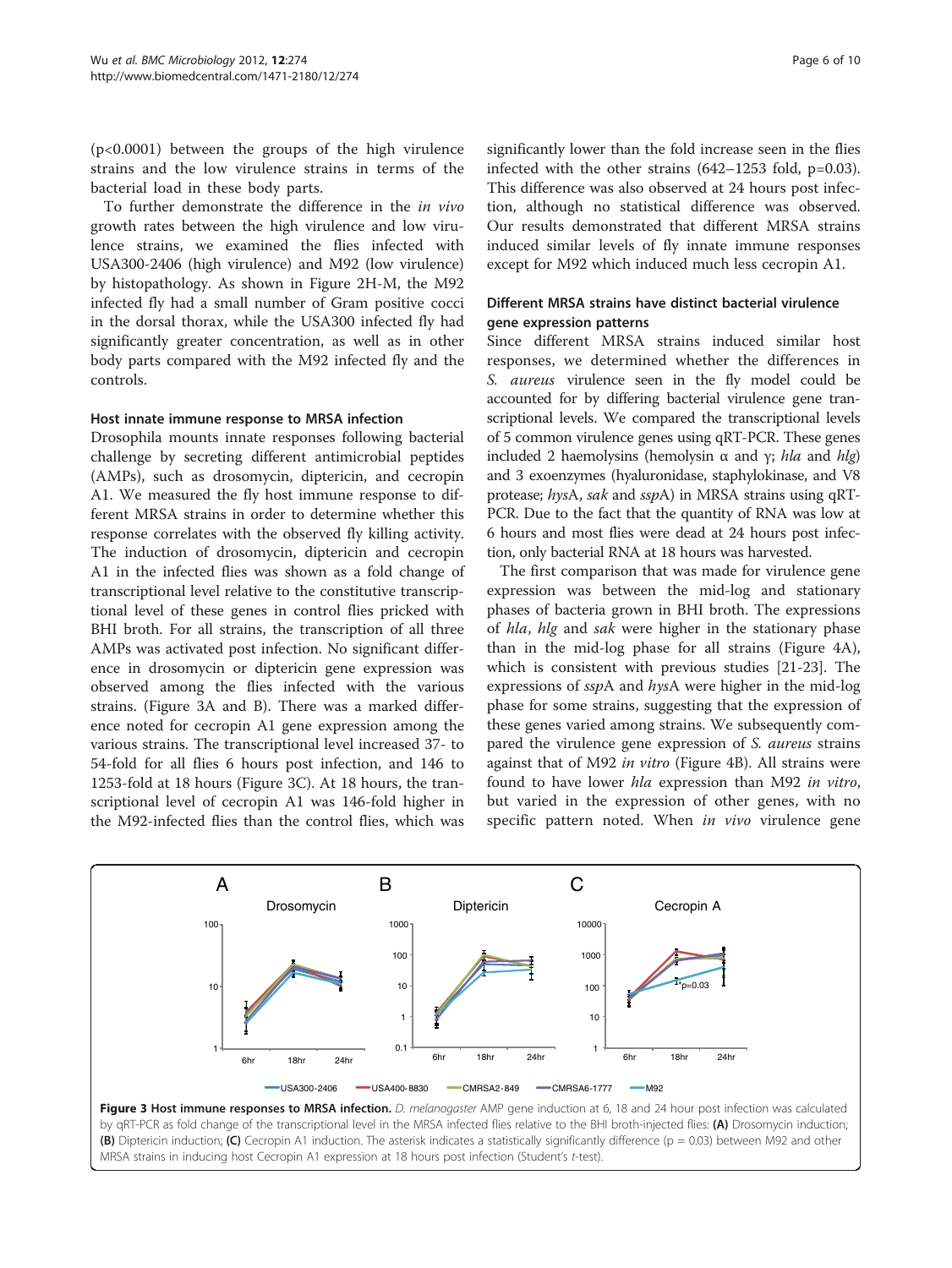<span id="page-5-0"></span>(p<0.0001) between the groups of the high virulence strains and the low virulence strains in terms of the bacterial load in these body parts.

To further demonstrate the difference in the in vivo growth rates between the high virulence and low virulence strains, we examined the flies infected with USA300-2406 (high virulence) and M92 (low virulence) by histopathology. As shown in Figure [2H-M,](#page-4-0) the M92 infected fly had a small number of Gram positive cocci in the dorsal thorax, while the USA300 infected fly had significantly greater concentration, as well as in other body parts compared with the M92 infected fly and the controls.

#### Host innate immune response to MRSA infection

Drosophila mounts innate responses following bacterial challenge by secreting different antimicrobial peptides (AMPs), such as drosomycin, diptericin, and cecropin A1. We measured the fly host immune response to different MRSA strains in order to determine whether this response correlates with the observed fly killing activity. The induction of drosomycin, diptericin and cecropin A1 in the infected flies was shown as a fold change of transcriptional level relative to the constitutive transcriptional level of these genes in control flies pricked with BHI broth. For all strains, the transcription of all three AMPs was activated post infection. No significant difference in drosomycin or diptericin gene expression was observed among the flies infected with the various strains. (Figure 3A and B). There was a marked difference noted for cecropin A1 gene expression among the various strains. The transcriptional level increased 37- to 54-fold for all flies 6 hours post infection, and 146 to 1253-fold at 18 hours (Figure 3C). At 18 hours, the transcriptional level of cecropin A1 was 146-fold higher in the M92-infected flies than the control flies, which was significantly lower than the fold increase seen in the flies infected with the other strains  $(642-1253 \text{ fold}, \text{p}=0.03)$ . This difference was also observed at 24 hours post infection, although no statistical difference was observed. Our results demonstrated that different MRSA strains induced similar levels of fly innate immune responses

# Different MRSA strains have distinct bacterial virulence gene expression patterns

except for M92 which induced much less cecropin A1.

Since different MRSA strains induced similar host responses, we determined whether the differences in S. *aureus* virulence seen in the fly model could be accounted for by differing bacterial virulence gene transcriptional levels. We compared the transcriptional levels of 5 common virulence genes using qRT-PCR. These genes included 2 haemolysins (hemolysin  $\alpha$  and  $\gamma$ ; hla and hlg) and 3 exoenzymes (hyaluronidase, staphylokinase, and V8 protease; hysA, sak and sspA) in MRSA strains using qRT-PCR. Due to the fact that the quantity of RNA was low at 6 hours and most flies were dead at 24 hours post infection, only bacterial RNA at 18 hours was harvested.

The first comparison that was made for virulence gene expression was between the mid-log and stationary phases of bacteria grown in BHI broth. The expressions of *hla, hlg* and *sak* were higher in the stationary phase than in the mid-log phase for all strains (Figure [4A](#page-6-0)), which is consistent with previous studies [\[21-23](#page-8-0)]. The expressions of sspA and hysA were higher in the mid-log phase for some strains, suggesting that the expression of these genes varied among strains. We subsequently compared the virulence gene expression of S. aureus strains against that of M92 in vitro (Figure [4B](#page-6-0)). All strains were found to have lower hla expression than M92 in vitro, but varied in the expression of other genes, with no specific pattern noted. When *in vivo* virulence gene



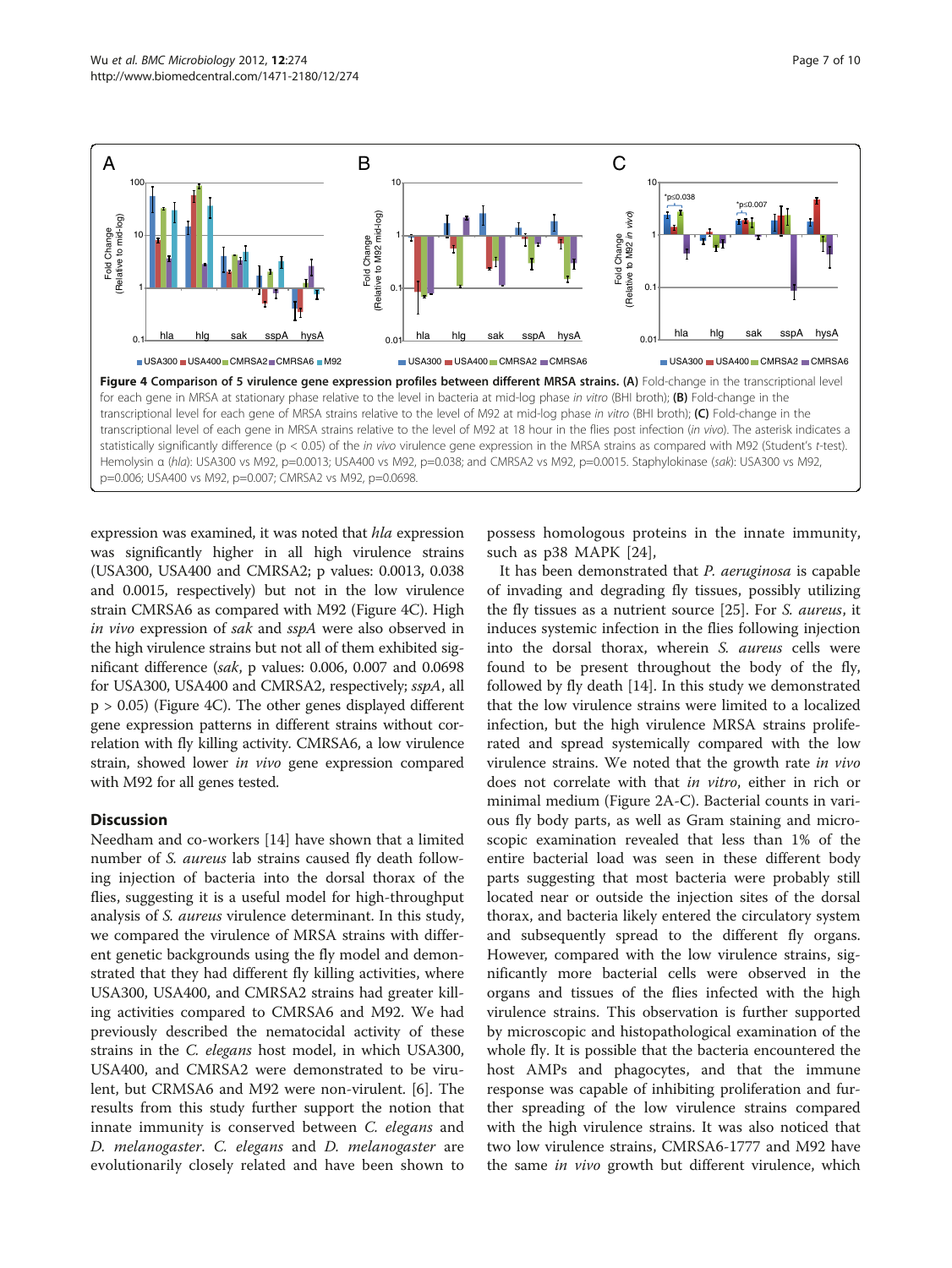<span id="page-6-0"></span>

expression was examined, it was noted that hla expression was significantly higher in all high virulence strains (USA300, USA400 and CMRSA2; p values: 0.0013, 0.038 and 0.0015, respectively) but not in the low virulence strain CMRSA6 as compared with M92 (Figure 4C). High in vivo expression of sak and sspA were also observed in the high virulence strains but not all of them exhibited significant difference (sak, p values: 0.006, 0.007 and 0.0698 for USA300, USA400 and CMRSA2, respectively; sspA, all  $p > 0.05$ ) (Figure 4C). The other genes displayed different gene expression patterns in different strains without correlation with fly killing activity. CMRSA6, a low virulence strain, showed lower in vivo gene expression compared with M92 for all genes tested.

# **Discussion**

Needham and co-workers [[14](#page-8-0)] have shown that a limited number of S. aureus lab strains caused fly death following injection of bacteria into the dorsal thorax of the flies, suggesting it is a useful model for high-throughput analysis of S. aureus virulence determinant. In this study, we compared the virulence of MRSA strains with different genetic backgrounds using the fly model and demonstrated that they had different fly killing activities, where USA300, USA400, and CMRSA2 strains had greater killing activities compared to CMRSA6 and M92. We had previously described the nematocidal activity of these strains in the C. elegans host model, in which USA300, USA400, and CMRSA2 were demonstrated to be virulent, but CRMSA6 and M92 were non-virulent. [[6\]](#page-8-0). The results from this study further support the notion that innate immunity is conserved between C. elegans and D. melanogaster. C. elegans and D. melanogaster are evolutionarily closely related and have been shown to

possess homologous proteins in the innate immunity, such as p38 MAPK [\[24](#page-8-0)],

It has been demonstrated that P. aeruginosa is capable of invading and degrading fly tissues, possibly utilizing the fly tissues as a nutrient source [[25](#page-8-0)]. For S. aureus, it induces systemic infection in the flies following injection into the dorsal thorax, wherein S. aureus cells were found to be present throughout the body of the fly, followed by fly death [\[14\]](#page-8-0). In this study we demonstrated that the low virulence strains were limited to a localized infection, but the high virulence MRSA strains proliferated and spread systemically compared with the low virulence strains. We noted that the growth rate in vivo does not correlate with that in vitro, either in rich or minimal medium (Figure [2A-C](#page-4-0)). Bacterial counts in various fly body parts, as well as Gram staining and microscopic examination revealed that less than 1% of the entire bacterial load was seen in these different body parts suggesting that most bacteria were probably still located near or outside the injection sites of the dorsal thorax, and bacteria likely entered the circulatory system and subsequently spread to the different fly organs. However, compared with the low virulence strains, significantly more bacterial cells were observed in the organs and tissues of the flies infected with the high virulence strains. This observation is further supported by microscopic and histopathological examination of the whole fly. It is possible that the bacteria encountered the host AMPs and phagocytes, and that the immune response was capable of inhibiting proliferation and further spreading of the low virulence strains compared with the high virulence strains. It was also noticed that two low virulence strains, CMRSA6-1777 and M92 have the same *in vivo* growth but different virulence, which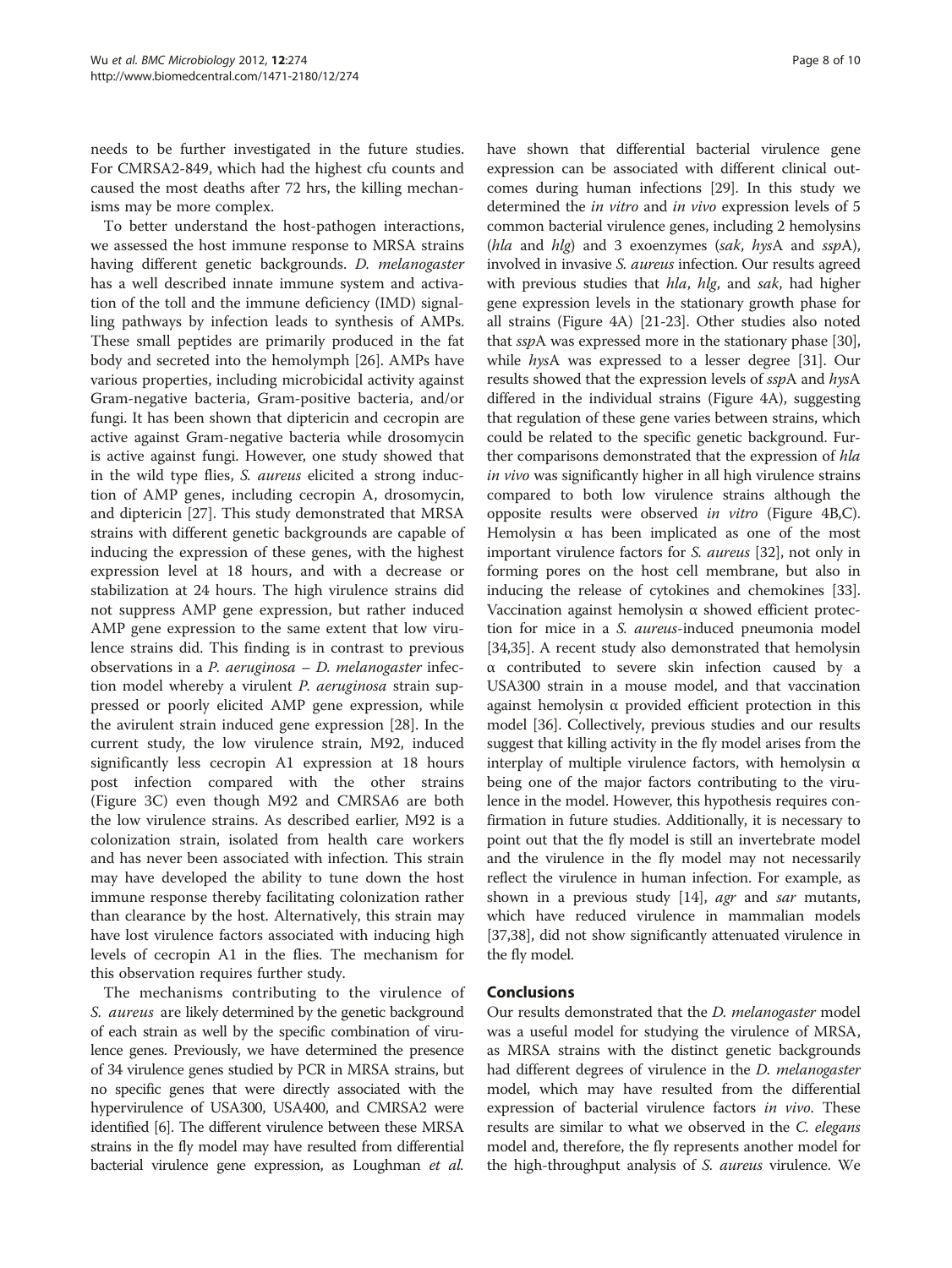needs to be further investigated in the future studies. For CMRSA2-849, which had the highest cfu counts and caused the most deaths after 72 hrs, the killing mechanisms may be more complex.

To better understand the host-pathogen interactions, we assessed the host immune response to MRSA strains having different genetic backgrounds. D. melanogaster has a well described innate immune system and activation of the toll and the immune deficiency (IMD) signalling pathways by infection leads to synthesis of AMPs. These small peptides are primarily produced in the fat body and secreted into the hemolymph [\[26\]](#page-8-0). AMPs have various properties, including microbicidal activity against Gram-negative bacteria, Gram-positive bacteria, and/or fungi. It has been shown that diptericin and cecropin are active against Gram-negative bacteria while drosomycin is active against fungi. However, one study showed that in the wild type flies, S. aureus elicited a strong induction of AMP genes, including cecropin A, drosomycin, and diptericin [\[27](#page-8-0)]. This study demonstrated that MRSA strains with different genetic backgrounds are capable of inducing the expression of these genes, with the highest expression level at 18 hours, and with a decrease or stabilization at 24 hours. The high virulence strains did not suppress AMP gene expression, but rather induced AMP gene expression to the same extent that low virulence strains did. This finding is in contrast to previous observations in a *P. aeruginosa – D. melanogaster* infection model whereby a virulent *P. aeruginosa* strain suppressed or poorly elicited AMP gene expression, while the avirulent strain induced gene expression [[28\]](#page-8-0). In the current study, the low virulence strain, M92, induced significantly less cecropin A1 expression at 18 hours post infection compared with the other strains (Figure [3C](#page-5-0)) even though M92 and CMRSA6 are both the low virulence strains. As described earlier, M92 is a colonization strain, isolated from health care workers and has never been associated with infection. This strain may have developed the ability to tune down the host immune response thereby facilitating colonization rather than clearance by the host. Alternatively, this strain may have lost virulence factors associated with inducing high levels of cecropin A1 in the flies. The mechanism for this observation requires further study.

The mechanisms contributing to the virulence of S. aureus are likely determined by the genetic background of each strain as well by the specific combination of virulence genes. Previously, we have determined the presence of 34 virulence genes studied by PCR in MRSA strains, but no specific genes that were directly associated with the hypervirulence of USA300, USA400, and CMRSA2 were identified [\[6\]](#page-8-0). The different virulence between these MRSA strains in the fly model may have resulted from differential bacterial virulence gene expression, as Loughman et al. have shown that differential bacterial virulence gene expression can be associated with different clinical outcomes during human infections [\[29](#page-8-0)]. In this study we determined the in vitro and in vivo expression levels of 5 common bacterial virulence genes, including 2 hemolysins (hla and hlg) and 3 exoenzymes (sak, hysA and  $sspA$ ), involved in invasive *S. aureus* infection. Our results agreed with previous studies that hla, hlg, and sak, had higher gene expression levels in the stationary growth phase for all strains (Figure [4A](#page-6-0)) [[21](#page-8-0)-[23](#page-8-0)]. Other studies also noted that sspA was expressed more in the stationary phase [[30](#page-8-0)], while hysA was expressed to a lesser degree [\[31](#page-8-0)]. Our results showed that the expression levels of sspA and hysA differed in the individual strains (Figure [4A](#page-6-0)), suggesting that regulation of these gene varies between strains, which could be related to the specific genetic background. Further comparisons demonstrated that the expression of hla in vivo was significantly higher in all high virulence strains compared to both low virulence strains although the opposite results were observed in vitro (Figure [4B,C](#page-6-0)). Hemolysin  $\alpha$  has been implicated as one of the most important virulence factors for S. aureus [[32](#page-9-0)], not only in forming pores on the host cell membrane, but also in inducing the release of cytokines and chemokines [[33](#page-9-0)]. Vaccination against hemolysin α showed efficient protection for mice in a S. aureus-induced pneumonia model [[34](#page-9-0),[35](#page-9-0)]. A recent study also demonstrated that hemolysin α contributed to severe skin infection caused by a USA300 strain in a mouse model, and that vaccination against hemolysin α provided efficient protection in this model [[36](#page-9-0)]. Collectively, previous studies and our results suggest that killing activity in the fly model arises from the interplay of multiple virulence factors, with hemolysin  $\alpha$ being one of the major factors contributing to the virulence in the model. However, this hypothesis requires confirmation in future studies. Additionally, it is necessary to point out that the fly model is still an invertebrate model and the virulence in the fly model may not necessarily reflect the virulence in human infection. For example, as shown in a previous study [[14](#page-8-0)], *agr* and *sar* mutants, which have reduced virulence in mammalian models [[37](#page-9-0),[38](#page-9-0)], did not show significantly attenuated virulence in the fly model.

# Conclusions

Our results demonstrated that the *D. melanogaster* model was a useful model for studying the virulence of MRSA, as MRSA strains with the distinct genetic backgrounds had different degrees of virulence in the D. melanogaster model, which may have resulted from the differential expression of bacterial virulence factors in vivo. These results are similar to what we observed in the C. elegans model and, therefore, the fly represents another model for the high-throughput analysis of S. aureus virulence. We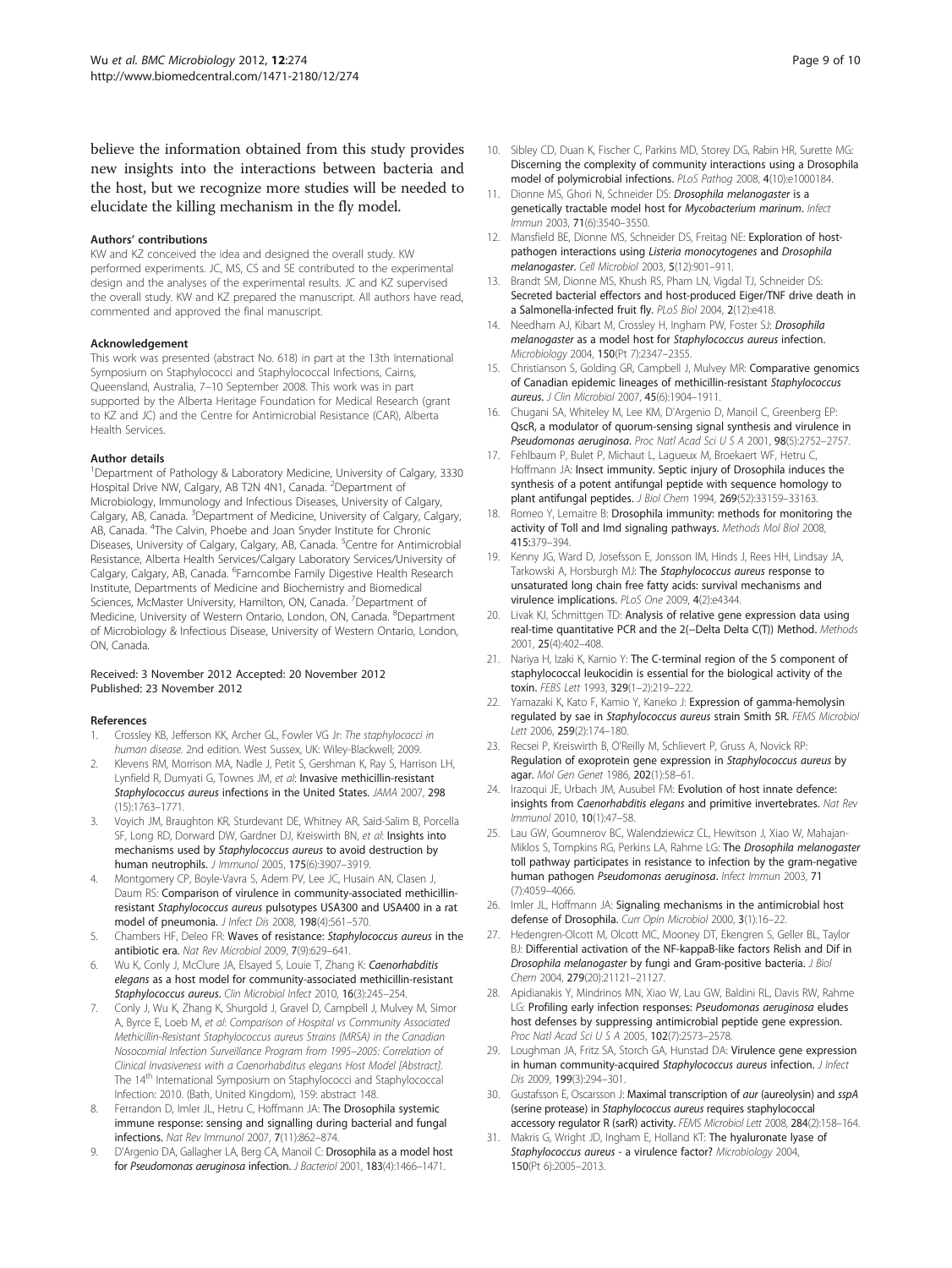<span id="page-8-0"></span>believe the information obtained from this study provides new insights into the interactions between bacteria and the host, but we recognize more studies will be needed to elucidate the killing mechanism in the fly model.

#### Authors' contributions

KW and KZ conceived the idea and designed the overall study. KW performed experiments. JC, MS, CS and SE contributed to the experimental design and the analyses of the experimental results. JC and KZ supervised the overall study. KW and KZ prepared the manuscript. All authors have read, commented and approved the final manuscript.

#### Acknowledgement

This work was presented (abstract No. 618) in part at the 13th International Symposium on Staphylococci and Staphylococcal Infections, Cairns, Queensland, Australia, 7–10 September 2008. This work was in part supported by the Alberta Heritage Foundation for Medical Research (grant to KZ and JC) and the Centre for Antimicrobial Resistance (CAR), Alberta Health Services.

#### Author details

<sup>1</sup>Department of Pathology & Laboratory Medicine, University of Calgary, 3330 Hospital Drive NW, Calgary, AB T2N 4N1, Canada. <sup>2</sup>Department of Microbiology, Immunology and Infectious Diseases, University of Calgary, Calgary, AB, Canada. <sup>3</sup>Department of Medicine, University of Calgary, Calgary, AB, Canada. <sup>4</sup>The Calvin, Phoebe and Joan Snyder Institute for Chronic Diseases, University of Calgary, Calgary, AB, Canada. <sup>5</sup>Centre for Antimicrobial Resistance, Alberta Health Services/Calgary Laboratory Services/University of Calgary, Calgary, AB, Canada. <sup>6</sup>Farncombe Family Digestive Health Research Institute, Departments of Medicine and Biochemistry and Biomedical Sciences, McMaster University, Hamilton, ON, Canada. <sup>7</sup>Department of Medicine, University of Western Ontario, London, ON, Canada. <sup>8</sup>Department of Microbiology & Infectious Disease, University of Western Ontario, London, ON, Canada.

#### Received: 3 November 2012 Accepted: 20 November 2012 Published: 23 November 2012

#### References

- 1. Crossley KB, Jefferson KK, Archer GL, Fowler VG Jr: The staphylococci in human disease. 2nd edition. West Sussex, UK: Wiley-Blackwell; 2009.
- 2. Klevens RM, Morrison MA, Nadle J, Petit S, Gershman K, Ray S, Harrison LH, Lynfield R, Dumyati G, Townes JM, et al: Invasive methicillin-resistant Staphylococcus aureus infections in the United States. JAMA 2007, 298 (15):1763–1771.
- 3. Voyich JM, Braughton KR, Sturdevant DE, Whitney AR, Said-Salim B, Porcella SF, Long RD, Dorward DW, Gardner DJ, Kreiswirth BN, et al: Insights into mechanisms used by Staphylococcus aureus to avoid destruction by human neutrophils. J Immunol 2005, 175(6):3907–3919.
- 4. Montgomery CP, Boyle-Vavra S, Adem PV, Lee JC, Husain AN, Clasen J, Daum RS: Comparison of virulence in community-associated methicillinresistant Staphylococcus aureus pulsotypes USA300 and USA400 in a rat model of pneumonia. J Infect Dis 2008, 198(4):561–570.
- Chambers HF, Deleo FR: Waves of resistance: Staphylococcus aureus in the antibiotic era. Nat Rev Microbiol 2009, 7(9):629–641.
- 6. Wu K, Conly J, McClure JA, Elsayed S, Louie T, Zhang K: Caenorhabditis elegans as a host model for community-associated methicillin-resistant Staphylococcus aureus. Clin Microbiol Infect 2010, 16(3):245–254.
- 7. Conly J, Wu K, Zhang K, Shurgold J, Gravel D, Campbell J, Mulvey M, Simor A, Byrce E, Loeb M, et al: Comparison of Hospital vs Community Associated Methicillin-Resistant Staphylococcus aureus Strains (MRSA) in the Canadian Nosocomial Infection Surveillance Program from 1995–2005: Correlation of Clinical Invasiveness with a Caenorhabditus elegans Host Model [Abstract]. The 14<sup>th</sup> International Symposium on Staphylococci and Staphylococcal Infection: 2010. (Bath, United Kingdom), 159: abstract 148.
- Ferrandon D, Imler JL, Hetru C, Hoffmann JA: The Drosophila systemic immune response: sensing and signalling during bacterial and fungal infections. Nat Rev Immunol 2007, 7(11):862–874.
- 9. D'Argenio DA, Gallagher LA, Berg CA, Manoil C: Drosophila as a model host for Pseudomonas aeruginosa infection. J Bacteriol 2001, 183(4):1466–1471.
- 10. Sibley CD, Duan K, Fischer C, Parkins MD, Storey DG, Rabin HR, Surette MG: Discerning the complexity of community interactions using a Drosophila model of polymicrobial infections. PLoS Pathog 2008, 4(10):e1000184.
- 11. Dionne MS, Ghori N, Schneider DS: Drosophila melanogaster is a genetically tractable model host for Mycobacterium marinum. Infect Immun 2003, 71(6):3540–3550.
- 12. Mansfield BE, Dionne MS, Schneider DS, Freitag NE: Exploration of hostpathogen interactions using Listeria monocytogenes and Drosophila melanogaster. Cell Microbiol 2003, 5(12):901–911.
- 13. Brandt SM, Dionne MS, Khush RS, Pham LN, Vigdal TJ, Schneider DS: Secreted bacterial effectors and host-produced Eiger/TNF drive death in a Salmonella-infected fruit fly. PLoS Biol 2004, 2(12):e418.
- 14. Needham AJ, Kibart M, Crossley H, Ingham PW, Foster SJ: Drosophila melanogaster as a model host for Staphylococcus aureus infection. Microbiology 2004, 150(Pt 7):2347–2355.
- 15. Christianson S, Golding GR, Campbell J, Mulvey MR: Comparative genomics of Canadian epidemic lineages of methicillin-resistant Staphylococcus aureus. J Clin Microbiol 2007, 45(6):1904–1911.
- 16. Chugani SA, Whiteley M, Lee KM, D'Argenio D, Manoil C, Greenberg EP: QscR, a modulator of quorum-sensing signal synthesis and virulence in Pseudomonas aeruginosa. Proc Natl Acad Sci U S A 2001, 98(5):2752–2757.
- 17. Fehlbaum P, Bulet P, Michaut L, Lagueux M, Broekaert WF, Hetru C, Hoffmann JA: Insect immunity. Septic injury of Drosophila induces the synthesis of a potent antifungal peptide with sequence homology to plant antifungal peptides. J Biol Chem 1994, 269(52):33159–33163.
- 18. Romeo Y, Lemaitre B: Drosophila immunity: methods for monitoring the activity of Toll and Imd signaling pathways. Methods Mol Biol 2008, 415:379–394.
- 19. Kenny JG, Ward D, Josefsson E, Jonsson IM, Hinds J, Rees HH, Lindsay JA, Tarkowski A, Horsburgh MJ: The Staphylococcus aureus response to unsaturated long chain free fatty acids: survival mechanisms and virulence implications. PLoS One 2009, 4(2):e4344.
- 20. Livak KJ, Schmittgen TD: Analysis of relative gene expression data using real-time quantitative PCR and the 2(−Delta Delta C(T)) Method. Methods 2001, 25(4):402–408.
- 21. Nariya H, Izaki K, Kamio Y: The C-terminal region of the S component of staphylococcal leukocidin is essential for the biological activity of the toxin. FEBS Lett 1993, 329(1–2):219–222.
- 22. Yamazaki K, Kato F, Kamio Y, Kaneko J: Expression of gamma-hemolysin regulated by sae in Staphylococcus aureus strain Smith 5R. FEMS Microbiol Lett 2006, 259(2):174–180.
- 23. Recsei P, Kreiswirth B, O'Reilly M, Schlievert P, Gruss A, Novick RP: Regulation of exoprotein gene expression in Staphylococcus aureus by agar. Mol Gen Genet 1986, 202(1):58–61.
- 24. Irazoqui JE, Urbach JM, Ausubel FM: Evolution of host innate defence: insights from Caenorhabditis elegans and primitive invertebrates. Nat Rev Immunol 2010, 10(1):47–58.
- 25. Lau GW, Goumnerov BC, Walendziewicz CL, Hewitson J, Xiao W, Mahajan-Miklos S, Tompkins RG, Perkins LA, Rahme LG: The Drosophila melanogaster toll pathway participates in resistance to infection by the gram-negative human pathogen Pseudomonas aeruginosa. Infect Immun 2003, 71 (7):4059–4066.
- 26. Imler JL, Hoffmann JA: Signaling mechanisms in the antimicrobial host defense of Drosophila. Curr Opin Microbiol 2000, 3(1):16–22.
- 27. Hedengren-Olcott M, Olcott MC, Mooney DT, Ekengren S, Geller BL, Taylor BJ: Differential activation of the NF-kappaB-like factors Relish and Dif in Drosophila melanogaster by fungi and Gram-positive bacteria. J Biol Chem 2004, 279(20):21121–21127.
- 28. Apidianakis Y, Mindrinos MN, Xiao W, Lau GW, Baldini RL, Davis RW, Rahme LG: Profiling early infection responses: Pseudomonas aeruginosa eludes host defenses by suppressing antimicrobial peptide gene expression. Proc Natl Acad Sci U S A 2005, 102(7):2573–2578.
- 29. Loughman JA, Fritz SA, Storch GA, Hunstad DA: Virulence gene expression in human community-acquired Staphylococcus aureus infection. J Infect Dis 2009, 199(3):294–301.
- 30. Gustafsson E, Oscarsson J: Maximal transcription of aur (aureolysin) and sspA (serine protease) in Staphylococcus aureus requires staphylococcal accessory regulator R (sarR) activity. FEMS Microbiol Lett 2008, 284(2):158-164.
- 31. Makris G, Wright JD, Ingham E, Holland KT: The hyaluronate lyase of Staphylococcus aureus - a virulence factor? Microbiology 2004, 150(Pt 6):2005–2013.